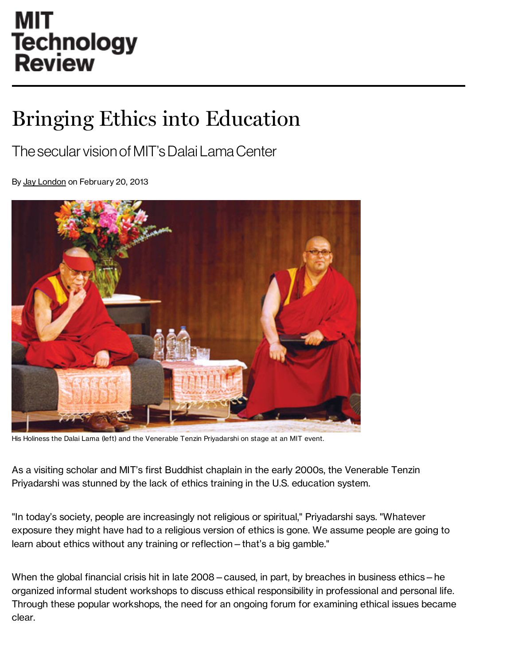## **MIT Technology Review**

## Bringing Ethics into Education

## The secular vision of MIT'sDalai LamaCenter

By Jay [London](http://www.technologyreview.com/contributor/jay-london/) on February 20, 2013



His Holiness the Dalai Lama (left) and the Venerable Tenzin Priyadarshi on stage at an MIT event.

As a visiting scholar and MIT's first Buddhist chaplain in the early 2000s, the Venerable Tenzin Priyadarshi was stunned by the lack of ethics training in the U.S. education system.

"In today's society, people are increasingly not religious or spiritual," Priyadarshi says. "Whatever exposure they might have had to a religious version of ethics is gone. We assume people are going to learn about ethics without any training or reflection—that's a big gamble."

When the global financial crisis hit in late 2008—caused, in part, by breaches in business ethics—he organized informal student workshops to discuss ethical responsibility in professional and personal life. Through these popular workshops, the need for an ongoing forum for examining ethical issues became clear.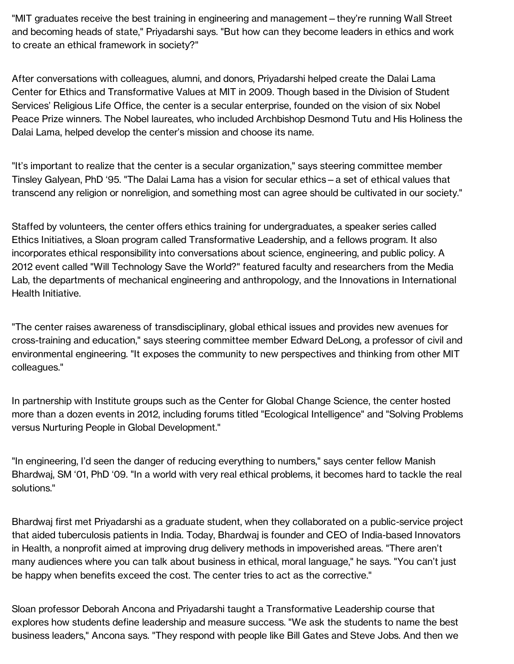"MIT graduates receive the best training in engineering and management—they're running Wall Street and becoming heads of state," Priyadarshi says. "But how can they become leaders in ethics and work to create an ethical framework in society?"

After conversations with colleagues, alumni, and donors, Priyadarshi helped create the Dalai Lama Center for Ethics and Transformative Values at MIT in 2009. Though based in the Division of Student Services' Religious Life Office, the center is a secular enterprise, founded on the vision of six Nobel Peace Prize winners. The Nobel laureates, who included Archbishop Desmond Tutu and His Holiness the Dalai Lama, helped develop the center's mission and choose its name.

"It's important to realize that the center is a secular organization," says steering committee member Tinsley Galyean, PhD '95. "The Dalai Lama has a vision for secular ethics—a set of ethical values that transcend any religion or nonreligion, and something most can agree should be cultivated in our society."

Staffed by volunteers, the center offers ethics training for undergraduates, a speaker series called Ethics Initiatives, a Sloan program called Transformative Leadership, and a fellows program. It also incorporates ethical responsibility into conversations about science, engineering, and public policy. A 2012 event called "Will Technology Save the World?" featured faculty and researchers from the Media Lab, the departments of mechanical engineering and anthropology, and the Innovations in International Health Initiative.

"The center raises awareness of transdisciplinary, global ethical issues and provides new avenues for cross-training and education," says steering committee member Edward DeLong, a professor of civil and environmental engineering. "It exposes the community to new perspectives and thinking from other MIT colleagues."

In partnership with Institute groups such as the Center for Global Change Science, the center hosted more than a dozen events in 2012, including forums titled "Ecological Intelligence" and "Solving Problems versus Nurturing People in Global Development."

"In engineering, I'd seen the danger of reducing everything to numbers," says center fellow Manish Bhardwaj, SM '01, PhD '09. "In a world with very real ethical problems, it becomes hard to tackle the real solutions."

Bhardwaj first met Priyadarshi as a graduate student, when they collaborated on a public-service project that aided tuberculosis patients in India. Today, Bhardwaj is founder and CEO of India-based Innovators in Health, a nonprofit aimed at improving drug delivery methods in impoverished areas. "There aren't many audiences where you can talk about business in ethical, moral language," he says. "You can't just be happy when benefits exceed the cost. The center tries to act as the corrective."

Sloan professor Deborah Ancona and Priyadarshi taught a Transformative Leadership course that explores how students define leadership and measure success. "We ask the students to name the best business leaders," Ancona says. "They respond with people like Bill Gates and Steve Jobs. And then we